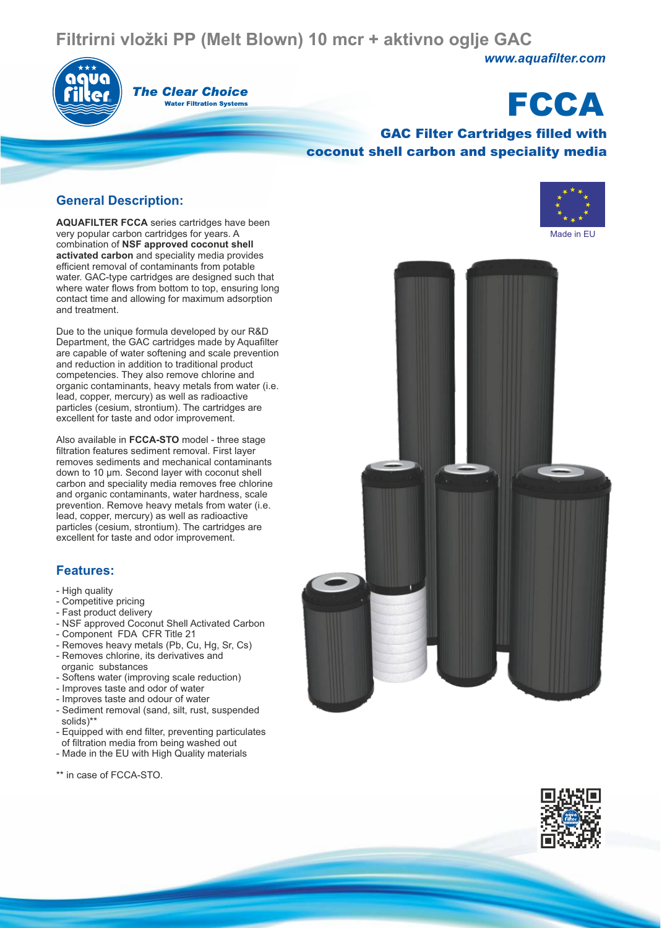## **Filtrirni vložki PP (Melt Blown) 10 mcr + aktivno oglje GAC**



#### **The Clear Choice Water Filtration Systems**

# **FCCA**

*www.aquafilter.com*

#### GAC Filter Cartridges filled with coconut shell carbon and speciality media

#### **General Description:**

**AQUAFILTER FCCA** series cartridges have been very popular carbon cartridges for years. A combination of **NSF approved coconut shell activated carbon** and speciality media provides efficient removal of contaminants from potable water. GAC-type cartridges are designed such that where water flows from bottom to top, ensuring long contact time and allowing for maximum adsorption and treatment.

Due to the unique formula developed by our R&D Department, the GAC cartridges made by Aquafilter are capable of water softening and scale prevention and reduction in addition to traditional product competencies. They also remove chlorine and organic contaminants, heavy metals from water (i.e. lead, copper, mercury) as well as radioactive particles (cesium, strontium). The cartridges are excellent for taste and odor improvement.

Also available in **FCCA-STO** model - three stage filtration features sediment removal. First layer removes sediments and mechanical contaminants down to 10 µm. Second layer with coconut shell carbon and speciality media removes free chlorine and organic contaminants, water hardness, scale prevention. Remove heavy metals from water (i.e. lead, copper, mercury) as well as radioactive particles (cesium, strontium). The cartridges are excellent for taste and odor improvement.

#### **Features:**

- High quality
- Competitive pricing
- Fast product delivery
- NSF approved Coconut Shell Activated Carbon
- Component FDA CFR Title 21
- Removes heavy metals (Pb, Cu, Hg, Sr, Cs) - Removes chlorine, its derivatives and
- organic substances
- Softens water (improving scale reduction)
- Improves taste and odor of water
- Improves taste and odour of water
- Sediment removal (sand, silt, rust, suspended solids)\*\*
- Equipped with end filter, preventing particulates of filtration media from being washed out
- Made in the EU with High Quality materials

\*\* in case of FCCA-STO.